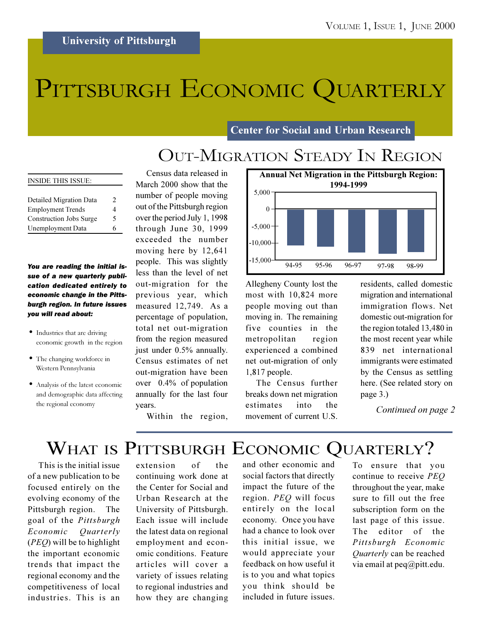# PITTSBURGH ECONOMIC QUARTERLY

**Center for Social and Urban Research** 

### **OUT-MIGRATION STEADY IN REGION**

| <b>INSIDE THIS ISSUE:</b> |                |
|---------------------------|----------------|
|                           |                |
| Detailed Migration Data   | $\mathfrak{D}$ |
| <b>Employment Trends</b>  | 4              |
| Construction Jobs Surge   | 5              |
| Unemployment Data         | 6              |

#### You are reading the initial issue of a new quarterly publication dedicated entirely to economic change in the Pittsburgh region. In future issues you will read about:

- Industries that are driving economic growth in the region
- The changing workforce in Western Pennsylvania
- Analysis of the latest economic and demographic data affecting the regional economy

Census data released in March 2000 show that the number of people moving out of the Pittsburgh region over the period July 1, 1998 through June 30, 1999 exceeded the number moving here by 12,641 people. This was slightly less than the level of net out-migration for the previous year, which measured 12,749. As a percentage of population, total net out-migration from the region measured just under 0.5% annually. Census estimates of net out-migration have been over 0.4% of population annually for the last four vears.



Allegheny County lost the most with 10,824 more people moving out than moving in. The remaining five counties in the metropolitan region experienced a combined net out-migration of only 1,817 people.

The Census further breaks down net migration estimates  $int<sub>o</sub>$ the movement of current U.S.

residents, called domestic migration and international immigration flows. Net domestic out-migration for the region totaled 13,480 in the most recent year while 839 net international immigrants were estimated by the Census as settling here. (See related story on page 3.)

Continued on page 2

Within the region,

### WHAT IS PITTSBURGH ECONOMIC QUARTERLY?

This is the initial issue of a new publication to be focused entirely on the evolving economy of the Pittsburgh region. The goal of the Pittsburgh Economic Quarterly  $(PEO)$  will be to highlight the important economic trends that impact the regional economy and the competitiveness of local industries. This is an

of extension the continuing work done at the Center for Social and Urban Research at the University of Pittsburgh. Each issue will include the latest data on regional employment and economic conditions. Feature articles will cover a variety of issues relating to regional industries and how they are changing and other economic and social factors that directly impact the future of the region. PEQ will focus entirely on the local economy. Once you have had a chance to look over this initial issue, we would appreciate your feedback on how useful it is to you and what topics you think should be included in future issues.

To ensure that you continue to receive PEQ throughout the year, make sure to fill out the free subscription form on the last page of this issue. The editor of the Pittsburgh Economic Quarterly can be reached via email at  $peq@pitt.edu$ .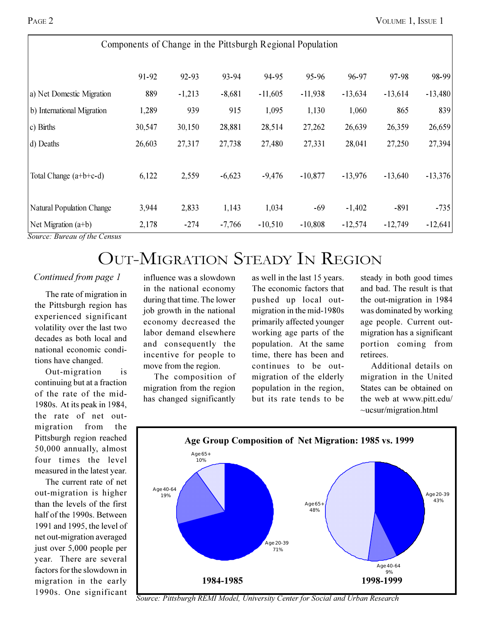| Components of Change in the Pittsburgh Regional Population |        |          |          |           |           |           |           |           |  |  |
|------------------------------------------------------------|--------|----------|----------|-----------|-----------|-----------|-----------|-----------|--|--|
|                                                            | 91-92  | 92-93    | 93-94    | 94-95     | 95-96     | 96-97     | 97-98     | 98-99     |  |  |
| a) Net Domestic Migration                                  | 889    | $-1,213$ | $-8,681$ | $-11,605$ | $-11,938$ | $-13,634$ | $-13,614$ | $-13,480$ |  |  |
| b) International Migration                                 | 1,289  | 939      | 915      | 1,095     | 1,130     | 1,060     | 865       | 839       |  |  |
| c) Births                                                  | 30,547 | 30,150   | 28,881   | 28,514    | 27,262    | 26,639    | 26,359    | 26,659    |  |  |
| d) Deaths                                                  | 26,603 | 27,317   | 27,738   | 27,480    | 27,331    | 28,041    | 27,250    | 27,394    |  |  |
| Total Change (a+b+c-d)                                     | 6,122  | 2,559    | $-6,623$ | $-9,476$  | $-10,877$ | $-13,976$ | $-13,640$ | $-13,376$ |  |  |
| <b>Natural Population Change</b>                           | 3,944  | 2,833    | 1,143    | 1,034     | $-69$     | $-1,402$  | $-891$    | $-735$    |  |  |
| Net Migration $(a+b)$                                      | 2,178  | $-274$   | $-7,766$ | $-10,510$ | $-10,808$ | $-12,574$ | $-12,749$ | $-12,641$ |  |  |

Source: Bureau of the Census

### **OUT-MIGRATION STEADY IN REGION**

#### Continued from page 1

The rate of migration in the Pittsburgh region has experienced significant volatility over the last two decades as both local and national economic conditions have changed.

Out-migration is continuing but at a fraction of the rate of the mid-1980s. At its peak in 1984, the rate of net outmigration from the Pittsburgh region reached 50,000 annually, almost four times the level measured in the latest year.

The current rate of net out-migration is higher than the levels of the first half of the 1990s. Between 1991 and 1995, the level of net out-migration averaged just over 5,000 people per year. There are several factors for the slowdown in migration in the early 1990s. One significant

influence was a slowdown in the national economy during that time. The lower job growth in the national economy decreased the labor demand elsewhere and consequently the incentive for people to move from the region.

The composition of migration from the region has changed significantly

as well in the last 15 years. The economic factors that pushed up local outmigration in the mid-1980s primarily affected younger working age parts of the population. At the same time, there has been and continues to be outmigration of the elderly population in the region, but its rate tends to be

steady in both good times and bad. The result is that the out-migration in 1984 was dominated by working age people. Current outmigration has a significant portion coming from retirees.

Additional details on migration in the United States can be obtained on the web at www.pitt.edu/  $\sim$ ucsur/migration.html



Source: Pittsburgh REMI Model, University Center for Social and Urban Research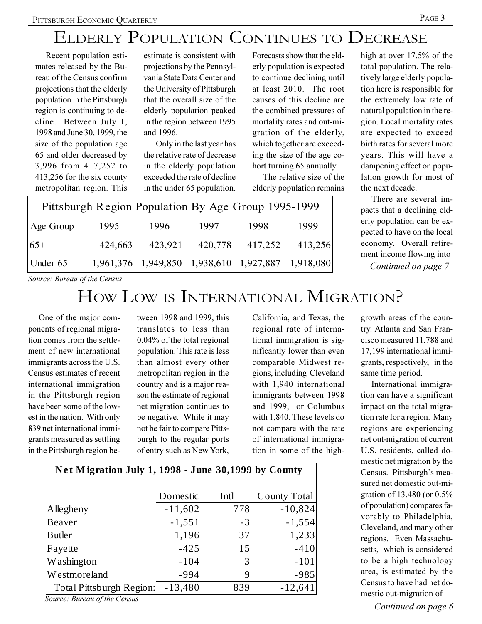### ELDERLY POPULATION CONTINUES TO DECREASE

Recent population estimates released by the Bureau of the Census confirm projections that the elderly population in the Pittsburgh region is continuing to decline. Between July 1, 1998 and June 30, 1999, the size of the population age 65 and older decreased by 3,996 from 417,252 to 413,256 for the six county metropolitan region. This

estimate is consistent with projections by the Pennsylvania State Data Center and the University of Pittsburgh that the overall size of the elderly population peaked in the region between 1995 and 1996.

Only in the last year has the relative rate of decrease in the elderly population exceeded the rate of decline in the under 65 population.

Forecasts show that the elderly population is expected to continue declining until at least 2010. The root causes of this decline are the combined pressures of mortality rates and out-migration of the elderly, which together are exceeding the size of the age cohort turning 65 annually.

The relative size of the elderly population remains

| Pittsburgh Region Population By Age Group 1995-1999 |         |         |         |                                                   |         |  |  |  |  |
|-----------------------------------------------------|---------|---------|---------|---------------------------------------------------|---------|--|--|--|--|
| Age Group                                           | 1995    | 1996    | 1997    | 1998                                              | 1999    |  |  |  |  |
| $65+$                                               | 424,663 | 423,921 | 420,778 | 417,252                                           | 413,256 |  |  |  |  |
| Under 65                                            |         |         |         | 1,961,376 1,949,850 1,938,610 1,927,887 1,918,080 |         |  |  |  |  |

high at over 17.5% of the total population. The relatively large elderly population here is responsible for the extremely low rate of natural population in the region. Local mortality rates are expected to exceed birth rates for several more vears. This will have a dampening effect on population growth for most of the next decade.

There are several impacts that a declining elderly population can be expected to have on the local economy. Overall retirement income flowing into Continued on page 7

Source: Bureau of the Census

### HOW LOW IS INTERNATIONAL MIGRATION?

One of the major components of regional migration comes from the settlement of new international immigrants across the U.S. Census estimates of recent international immigration in the Pittsburgh region have been some of the lowest in the nation. With only 839 net international immigrants measured as settling in the Pittsburgh region be-

tween 1998 and 1999, this translates to less than  $0.04\%$  of the total regional population. This rate is less than almost every other metropolitan region in the country and is a major reason the estimate of regional net migration continues to be negative. While it may not be fair to compare Pittsburgh to the regular ports of entry such as New York,

California, and Texas, the regional rate of international immigration is significantly lower than even comparable Midwest regions, including Cleveland with 1,940 international immigrants between 1998 and 1999, or Columbus with 1,840. These levels do not compare with the rate of international immigration in some of the high-

| growth areas of the coun-    |
|------------------------------|
| try. Atlanta and San Fran-   |
| cisco measured 11,788 and    |
| 17,199 international immi-   |
| grants, respectively, in the |
| same time period.            |
| International immigra-       |

tion can have a significant impact on the total migration rate for a region. Many regions are experiencing net out-migration of current U.S. residents, called domestic net migration by the Census. Pittsburgh's measured net domestic out-migration of 13,480 (or 0.5% of population) compares favorably to Philadelphia, Cleveland, and many other regions. Even Massachusetts, which is considered to be a high technology area, is estimated by the Census to have had net domestic out-migration of

Net Migration July 1, 1998 - June 30,1999 by County Intl Domestic **County Total** Allegheny  $-11,602$ 778  $-10.824$ **Beaver**  $-1,551$  $-3$  $-1,554$ **Butler** 1,196 37 1,233 Fayette  $-425$ 15  $-410$ 3 **Washington**  $-104$  $-101$  $\overline{Q}$  $-985$ Westmoreland  $-994$ 839  $-13,480$  $-12,641$ **Total Pittsburgh Region:** 

Source: Bureau of the Census

PAGE 3

Continued on page 6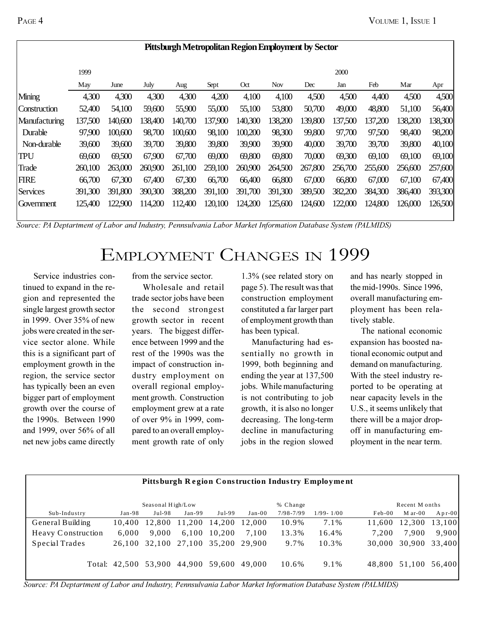| Pittsburgh Metropolitan Region Employment by Sector |         |         |         |         |         |         |            |         |         |         |         |         |
|-----------------------------------------------------|---------|---------|---------|---------|---------|---------|------------|---------|---------|---------|---------|---------|
|                                                     | 1999    |         |         |         |         |         |            |         | 2000    |         |         |         |
|                                                     | May     | June    | July    | Aug     | Sept    | Oct     | <b>Nov</b> | Dec     | Jan     | Feb     | Mar     | Apr     |
| Mining                                              | 4,300   | 4,300   | 4,300   | 4,300   | 4,200   | 4,100   | 4,100      | 4,500   | 4,500   | 4,400   | 4,500   | 4,500   |
| Construction                                        | 52,400  | 54,100  | 59,600  | 55,900  | 55,000  | 55,100  | 53,800     | 50,700  | 49,000  | 48,800  | 51,100  | 56,400  |
| Manufacturing                                       | 137,500 | 140,600 | 138,400 | 140,700 | 137,900 | 140,300 | 138,200    | 139,800 | 137,500 | 137,200 | 138,200 | 138,300 |
| Durable                                             | 97,900  | 100,600 | 98,700  | 100,600 | 98,100  | 100,200 | 98,300     | 99,800  | 97,700  | 97,500  | 98,400  | 98,200  |
| Non-durable                                         | 39,600  | 39,600  | 39,700  | 39,800  | 39,800  | 39,900  | 39,900     | 40,000  | 39,700  | 39,700  | 39,800  | 40,100  |
| <b>TPU</b>                                          | 69,600  | 69,500  | 67,900  | 67,700  | 69,000  | 69,800  | 69,800     | 70,000  | 69,300  | 69,100  | 69,100  | 69,100  |
| Trade                                               | 260,100 | 263,000 | 260,900 | 261,100 | 259,100 | 260,900 | 264,500    | 267,800 | 256,700 | 255,600 | 256,600 | 257,600 |
| <b>FIRE</b>                                         | 66,700  | 67,300  | 67,400  | 67,300  | 66,700  | 66,400  | 66,800     | 67,000  | 66,800  | 67,000  | 67,100  | 67,400  |
| <b>Services</b>                                     | 391,300 | 391,800 | 390,300 | 388,200 | 391,100 | 391,700 | 391,300    | 389,500 | 382,200 | 384,300 | 386,400 | 393,300 |
| Government                                          | 125,400 | 122,900 | 114,200 | 112,400 | 120,100 | 124,200 | 125,600    | 124,600 | 122,000 | 124,800 | 126,000 | 126,500 |

Source: PA Deptartment of Labor and Industry, Pennsulvania Labor Market Information Database System (PALMIDS)

## EMPLOYMENT CHANGES IN 1999

Service industries continued to expand in the region and represented the single largest growth sector in 1999. Over 35% of new jobs were created in the service sector alone. While this is a significant part of employment growth in the region, the service sector has typically been an even bigger part of employment growth over the course of the 1990s. Between 1990 and 1999, over 56% of all net new jobs came directly from the service sector.

Wholesale and retail trade sector jobs have been the second strongest growth sector in recent years. The biggest difference between 1999 and the rest of the 1990s was the impact of construction industry employment on overall regional employment growth. Construction employment grew at a rate of over 9% in 1999, compared to an overall employment growth rate of only 1.3% (see related story on page 5). The result was that construction employment constituted a far larger part of employment growth than has been typical.

Manufacturing had essentially no growth in 1999, both beginning and ending the year at 137,500 jobs. While manufacturing is not contributing to job growth, it is also no longer decreasing. The long-term decline in manufacturing jobs in the region slowed and has nearly stopped in the mid-1990s. Since 1996, overall manufacturing employment has been relatively stable.

The national economic expansion has boosted national economic output and demand on manufacturing. With the steel industry reported to be operating at near capacity levels in the U.S., it seems unlikely that there will be a major dropoff in manufacturing employment in the near term.

| <b>Pittsburgh Region Construction Industry Employment</b> |               |        |                             |        |          |               |                |          |           |        |
|-----------------------------------------------------------|---------------|--------|-----------------------------|--------|----------|---------------|----------------|----------|-----------|--------|
| Seasonal High/Low<br>% Change                             |               |        |                             |        |          |               | Recent M onths |          |           |        |
| Sub-Industry                                              | $Jan-98$      | Jul-98 | $Jan-99$                    | Jul-99 | $Jan-00$ | $7/98 - 7/99$ | $1/99 - 1/00$  | $Feb-00$ | $M$ ar-00 | Apr-00 |
| General Building                                          | 10.400        | 12.800 | 11.200                      | 14.200 | 12,000   | 10.9%         | 7.1%           | 11.600   | 12.300    | 13,100 |
| Heavy Construction                                        | 6.000         | 9.000  | 6,100                       | 10.200 | 7,100    | 13.3%         | 16.4%          | 7.200    | 7.900     | 9,900  |
| Special Trades                                            | 26.100        |        | 32.100 27.100 35.200 29.900 |        |          | 9.7%          | 10.3%          | 30,000   | 30,900    | 33,400 |
|                                                           | Total: 42.500 | 53,900 | 44,900                      | 59,600 | 49.000   | 10.6%         | 9.1%           | 48.800   | 51,100    | 56,400 |

Source: PA Deptartment of Labor and Industry, Pennsulvania Labor Market Information Database System (PALMIDS)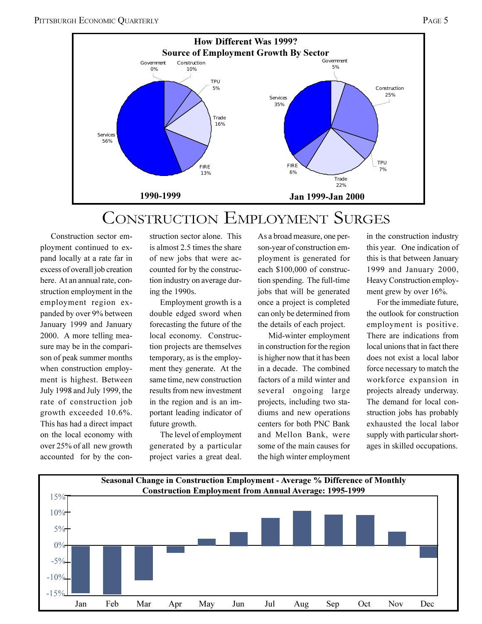

### **CONSTRUCTION EMPLOYMENT SURGES**

Construction sector employment continued to expand locally at a rate far in excess of overall job creation here. At an annual rate, construction employment in the employment region expanded by over 9% between January 1999 and January 2000. A more telling measure may be in the comparison of peak summer months when construction employment is highest. Between July 1998 and July 1999, the rate of construction job growth exceeded 10.6%. This has had a direct impact on the local economy with over 25% of all new growth accounted for by the construction sector alone. This is almost 2.5 times the share of new jobs that were accounted for by the construction industry on average during the 1990s.

Employment growth is a double edged sword when forecasting the future of the local economy. Construction projects are themselves temporary, as is the employment they generate. At the same time, new construction results from new investment in the region and is an important leading indicator of future growth.

The level of employment generated by a particular project varies a great deal.

As a broad measure, one person-year of construction employment is generated for each \$100,000 of construction spending. The full-time jobs that will be generated once a project is completed can only be determined from the details of each project.

Mid-winter employment in construction for the region is higher now that it has been in a decade. The combined factors of a mild winter and several ongoing large projects, including two stadiums and new operations centers for both PNC Bank and Mellon Bank, were some of the main causes for the high winter employment in the construction industry this year. One indication of this is that between January 1999 and January 2000, Heavy Construction employment grew by over 16%.

For the immediate future. the outlook for construction employment is positive. There are indications from local unions that in fact there does not exist a local labor force necessary to match the workforce expansion in projects already underway. The demand for local construction jobs has probably exhausted the local labor supply with particular shortages in skilled occupations.

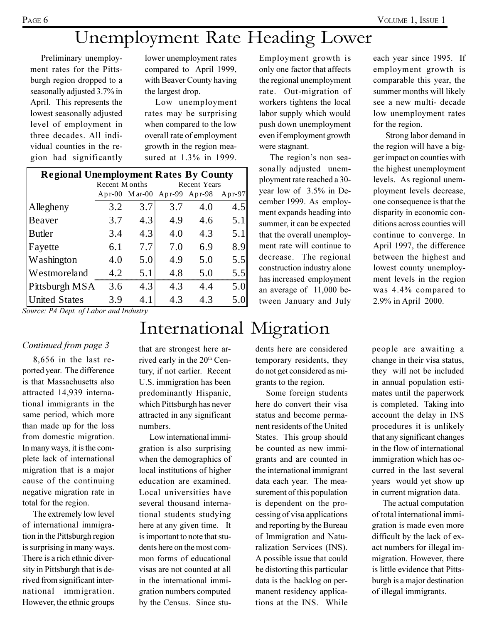Preliminary unemployment rates for the Pittsburgh region dropped to a seasonally adjusted 3.7% in April. This represents the lowest seasonally adjusted level of employment in three decades. All individual counties in the region had significantly lower unemployment rates compared to April 1999, with Beaver County having the largest drop.

Low unemployment rates may be surprising when compared to the low overall rate of employment growth in the region measured at 1.3% in 1999.

| <b>Regional Unemployment Rates By County</b> |               |                             |                     |     |        |  |  |  |  |  |
|----------------------------------------------|---------------|-----------------------------|---------------------|-----|--------|--|--|--|--|--|
|                                              | Recent Months |                             | <b>Recent Years</b> |     |        |  |  |  |  |  |
|                                              |               | Apr-00 Mar-00 Apr-99 Apr-98 |                     |     | Apr-97 |  |  |  |  |  |
| Allegheny                                    | 3.2           | 3.7                         | 3.7                 | 4.0 | 4.5    |  |  |  |  |  |
| Beaver                                       | 3.7           | 4.3                         | 4.9                 | 4.6 | 5.1    |  |  |  |  |  |
| <b>Butler</b>                                | 3.4           | 4.3                         | 4.0                 | 4.3 | 5.1    |  |  |  |  |  |
| Fayette                                      | 6.1           | 7.7                         | 7.0                 | 6.9 | 8.9    |  |  |  |  |  |
| Washington                                   | 4.0           | 5.0                         | 4.9                 | 5.0 | 5.5    |  |  |  |  |  |
| Westmoreland                                 | 4.2           | 5.1                         | 4.8                 | 5.0 | 5.5    |  |  |  |  |  |
| Pittsburgh MSA                               | 3.6           | 4.3                         | 4.3                 | 4.4 | 5.0    |  |  |  |  |  |
| <b>United States</b>                         | 3.9           | 4.1                         | 4.3                 | 4.3 | 5.0    |  |  |  |  |  |

Source: PA Dept. of Labor and Industry

#### Continued from page 3

 $8,656$  in the last reported year. The difference is that Massachusetts also attracted 14,939 international immigrants in the same period, which more than made up for the loss from domestic migration. In many ways, it is the complete lack of international migration that is a major cause of the continuing negative migration rate in total for the region.

The extremely low level of international immigration in the Pittsburgh region is surprising in many ways. There is a rich ethnic diversity in Pittsburgh that is derived from significant international immigration. However, the ethnic groups

that are strongest here arrived early in the 20<sup>th</sup> Century, if not earlier. Recent U.S. immigration has been predominantly Hispanic, which Pittsburgh has never attracted in any significant numbers.

International Migration

Low international immigration is also surprising when the demographics of local institutions of higher education are examined. Local universities have several thousand international students studying here at any given time. It is important to note that students here on the most common forms of educational visas are not counted at all in the international immigration numbers computed by the Census. Since stuEmployment growth is only one factor that affects the regional unemployment rate. Out-migration of workers tightens the local labor supply which would push down unemployment even if employment growth were stagnant.

The region's non seasonally adjusted unemployment rate reached a 30year low of 3.5% in December 1999. As employment expands heading into summer, it can be expected that the overall unemployment rate will continue to decrease. The regional construction industry alone has increased employment an average of 11,000 between January and July each year since 1995. If employment growth is comparable this year, the summer months will likely see a new multi- decade low unemployment rates for the region.

Strong labor demand in the region will have a bigger impact on counties with the highest unemployment levels. As regional unemployment levels decrease, one consequence is that the disparity in economic conditions across counties will continue to converge. In April 1997, the difference between the highest and lowest county unemployment levels in the region was 4.4% compared to 2.9% in April 2000.

dents here are considered temporary residents, they do not get considered as migrants to the region.

Some foreign students here do convert their visa status and become permanent residents of the United States. This group should be counted as new immigrants and are counted in the international immigrant data each year. The measurement of this population is dependent on the processing of visa applications and reporting by the Bureau of Immigration and Naturalization Services (INS). A possible issue that could be distorting this particular data is the backlog on permanent residency applications at the INS. While

people are awaiting a change in their visa status, they will not be included in annual population estimates until the paperwork is completed. Taking into account the delay in INS procedures it is unlikely that any significant changes in the flow of international immigration which has occurred in the last several years would yet show up in current migration data.

The actual computation of total international immigration is made even more difficult by the lack of exact numbers for illegal immigration. However, there is little evidence that Pittsburgh is a major destination of illegal immigrants.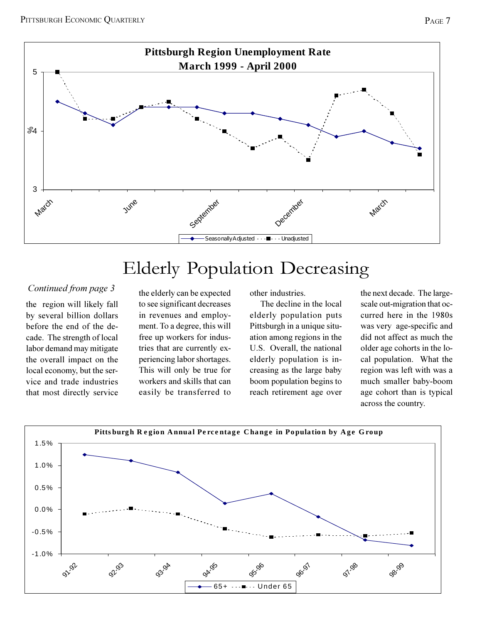

## Elderly Population Decreasing

#### Continued from page 3

the region will likely fall by several billion dollars before the end of the decade. The strength of local labor demand may mitigate the overall impact on the local economy, but the service and trade industries that most directly service the elderly can be expected to see significant decreases in revenues and employment. To a degree, this will free up workers for industries that are currently experiencing labor shortages. This will only be true for workers and skills that can easily be transferred to other industries.

The decline in the local elderly population puts Pittsburgh in a unique situation among regions in the U.S. Overall, the national elderly population is increasing as the large baby boom population begins to reach retirement age over the next decade. The largescale out-migration that occurred here in the 1980s was very age-specific and did not affect as much the older age cohorts in the local population. What the region was left with was a much smaller baby-boom age cohort than is typical across the country.